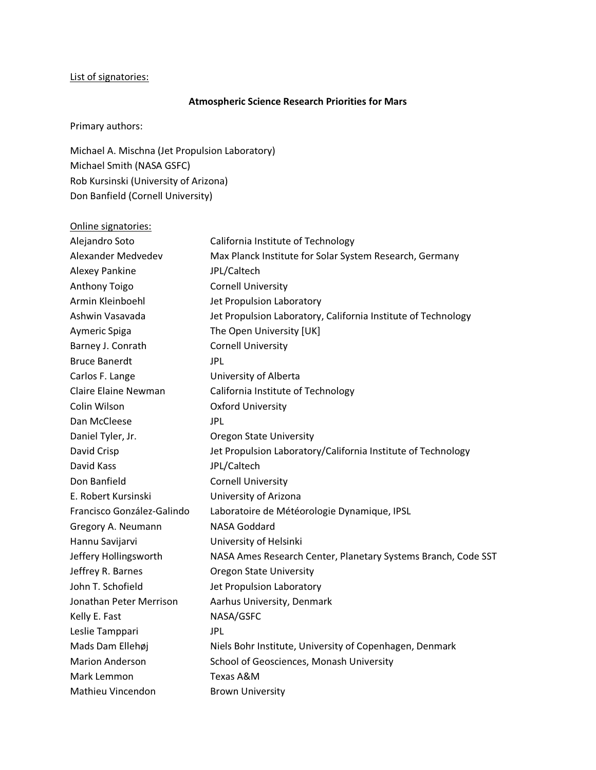## List of signatories:

## Atmospheric Science Research Priorities for Mars

Primary authors:

Michael A. Mischna (Jet Propulsion Laboratory) Michael Smith (NASA GSFC) Rob Kursinski (University of Arizona) Don Banfield (Cornell University)

| Online signatories:         |                                                               |
|-----------------------------|---------------------------------------------------------------|
| Alejandro Soto              | California Institute of Technology                            |
| Alexander Medvedev          | Max Planck Institute for Solar System Research, Germany       |
| Alexey Pankine              | JPL/Caltech                                                   |
| <b>Anthony Toigo</b>        | <b>Cornell University</b>                                     |
| Armin Kleinboehl            | Jet Propulsion Laboratory                                     |
| Ashwin Vasavada             | Jet Propulsion Laboratory, California Institute of Technology |
| Aymeric Spiga               | The Open University [UK]                                      |
| Barney J. Conrath           | <b>Cornell University</b>                                     |
| <b>Bruce Banerdt</b>        | JPL                                                           |
| Carlos F. Lange             | University of Alberta                                         |
| <b>Claire Elaine Newman</b> | California Institute of Technology                            |
| Colin Wilson                | <b>Oxford University</b>                                      |
| Dan McCleese                | JPL                                                           |
| Daniel Tyler, Jr.           | <b>Oregon State University</b>                                |
| David Crisp                 | Jet Propulsion Laboratory/California Institute of Technology  |
| David Kass                  | JPL/Caltech                                                   |
| Don Banfield                | <b>Cornell University</b>                                     |
| E. Robert Kursinski         | University of Arizona                                         |
| Francisco González-Galindo  | Laboratoire de Météorologie Dynamique, IPSL                   |
| Gregory A. Neumann          | <b>NASA Goddard</b>                                           |
| Hannu Savijarvi             | University of Helsinki                                        |
| Jeffery Hollingsworth       | NASA Ames Research Center, Planetary Systems Branch, Code SST |
| Jeffrey R. Barnes           | <b>Oregon State University</b>                                |
| John T. Schofield           | Jet Propulsion Laboratory                                     |
| Jonathan Peter Merrison     | Aarhus University, Denmark                                    |
| Kelly E. Fast               | NASA/GSFC                                                     |
| Leslie Tamppari             | <b>JPL</b>                                                    |
| Mads Dam Ellehøj            | Niels Bohr Institute, University of Copenhagen, Denmark       |
| <b>Marion Anderson</b>      | School of Geosciences, Monash University                      |
| Mark Lemmon                 | Texas A&M                                                     |
| Mathieu Vincendon           | <b>Brown University</b>                                       |